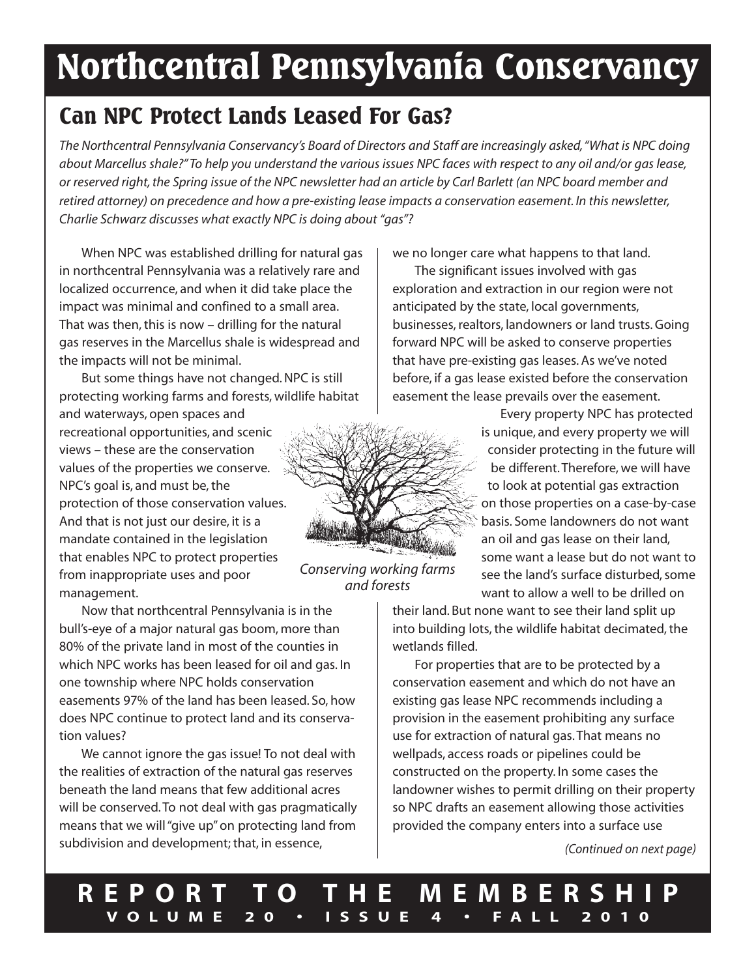# **Northcentral Pennsylvania Conservancy**

### **Can NPC Protect Lands Leased For Gas?**

*The Northcentral Pennsylvania Conservancy's Board of Directors and Staff are increasingly asked,"What is NPC doing* about Marcellus shale?" To help you understand the various issues NPC faces with respect to any oil and/or gas lease, or reserved right, the Spring issue of the NPC newsletter had an article by Carl Barlett (an NPC board member and retired attorney) on precedence and how a pre-existing lease impacts a conservation easement. In this newsletter, *Charlie Schwarz discusses what exactly NPC is doing about "gas"?*

When NPC was established drilling for natural gas in northcentral Pennsylvania was a relatively rare and localized occurrence, and when it did take place the impact was minimal and confined to a small area. That was then, this is now  $-$  drilling for the natural gas reserves in the Marcellus shale is widespread and the impacts will not be minimal.

But some things have not changed.NPC is still protecting working farms and forests, wildlife habitat and waterways, open spaces and recreational opportunities, and scenic views – these are the conservation values of the properties we conserve. NPC's goal is, and must be, the protection of those conservation values. And that is not just our desire, it is a mandate contained in the legislation that enables NPC to protect properties from inappropriate uses and poor management.

Now that northcentral Pennsylvania is in the bull's-eye of a major natural gas boom, more than 80% of the private land in most of the counties in which NPC works has been leased for oil and gas. In one township where NPC holds conservation easements 97% of the land has been leased. So, how does NPC continue to protect land and its conservation values?

We cannot ignore the gas issue! To not deal with the realities of extraction of the natural gas reserves beneath the land means that few additional acres will be conserved.To not deal with gas pragmatically means that we will"give up"on protecting land from subdivision and development; that, in essence,

we no longer care what happens to that land.

The significant issues involved with gas exploration and extraction in our region were not anticipated by the state, local governments, businesses, realtors, landowners or land trusts.Going forward NPC will be asked to conserve properties that have pre-existing gas leases. As we've noted before, if a gas lease existed before the conservation easement the lease prevails over the easement.



*Conserving working farms and forests*

Every property NPC has protected is unique, and every property we will consider protecting in the future will be different.Therefore, we will have to look at potential gas extraction on those properties on a case-by-case basis. Some landowners do not want an oil and gas lease on their land, some want a lease but do not want to see the land's surface disturbed, some want to allow a well to be drilled on

their land. But none want to see their land split up into building lots, the wildlife habitat decimated, the wetlands filled.

For properties that are to be protected by a conservation easement and which do not have an existing gas lease NPC recommends including a provision in the easement prohibiting any surface use for extraction of natural gas.That means no wellpads, access roads or pipelines could be constructed on the property. In some cases the landowner wishes to permit drilling on their property so NPC drafts an easement allowing those activities provided the company enters into a surface use

*(Continued on next page)*

**R E P O R T T O T H E M E M B E R S H I P V O L U M E 2 0 • I S S U E 4 • F A L L 2 0 1 0**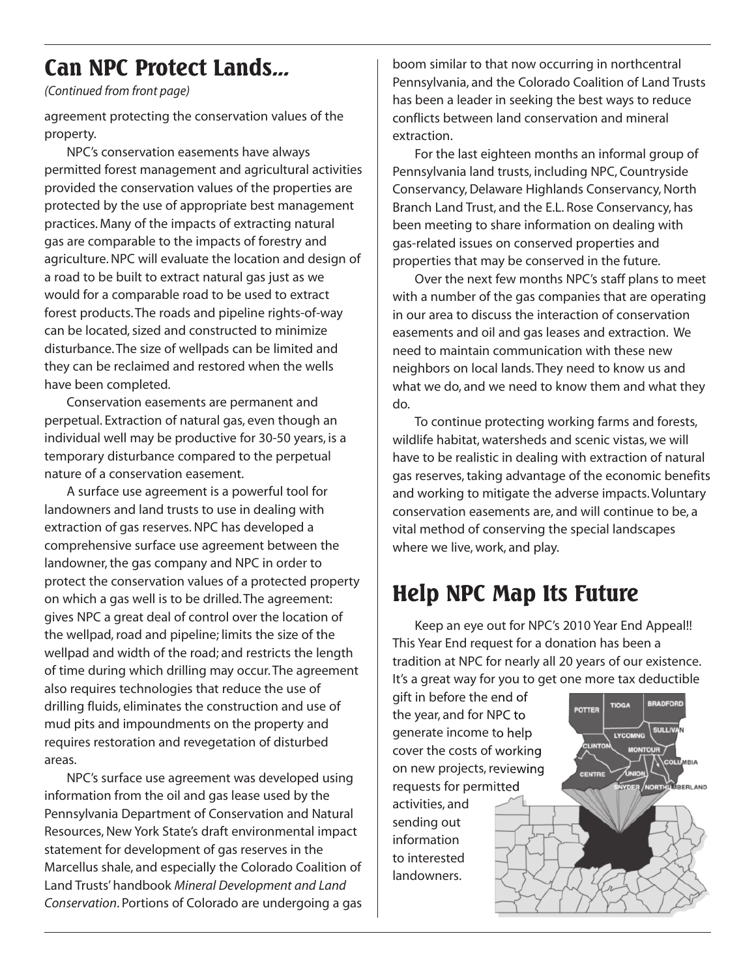### **Can NPC Protect Lands...**

*(Continued from front page)*

agreement protecting the conservation values of the property.

NPC's conservation easements have always permitted forest management and agricultural activities provided the conservation values of the properties are protected by the use of appropriate best management practices. Many of the impacts of extracting natural gas are comparable to the impacts of forestry and agriculture.NPC will evaluate the location and design of a road to be built to extract natural gas just as we would for a comparable road to be used to extract forest products.The roads and pipeline rights-of-way can be located, sized and constructed to minimize disturbance.The size of wellpads can be limited and they can be reclaimed and restored when the wells have been completed.

Conservation easements are permanent and perpetual. Extraction of natural gas, even though an individual well may be productive for 30-50 years, is a temporary disturbance compared to the perpetual nature of a conservation easement.

A surface use agreement is a powerful tool for landowners and land trusts to use in dealing with extraction of gas reserves.NPC has developed a comprehensive surface use agreement between the landowner, the gas company and NPC in order to protect the conservation values of a protected property on which a gas well is to be drilled.The agreement: gives NPC a great deal of control over the location of the wellpad, road and pipeline; limits the size of the wellpad and width of the road; and restricts the length of time during which drilling may occur.The agreement also requires technologies that reduce the use of drilling fluids, eliminates the construction and use of mud pits and impoundments on the property and requires restoration and revegetation of disturbed areas.

NPC's surface use agreement was developed using information from the oil and gas lease used by the Pennsylvania Department of Conservation and Natural Resources, New York State's draft environmental impact statement for development of gas reserves in the Marcellus shale, and especially the Colorado Coalition of Land Trusts' handbook *Mineral Development and Land Conservation*. Portions of Colorado are undergoing a gas

boom similar to that now occurring in northcentral Pennsylvania, and the Colorado Coalition of Land Trusts has been a leader in seeking the best ways to reduce conflicts between land conservation and mineral extraction.

For the last eighteen months an informal group of Pennsylvania land trusts, including NPC, Countryside Conservancy, Delaware Highlands Conservancy, North Branch Land Trust, and the E.L. Rose Conservancy, has been meeting to share information on dealing with gas-related issues on conserved properties and properties that may be conserved in the future.

Over the next few months NPC's staff plans to meet with a number of the gas companies that are operating in our area to discuss the interaction of conservation easements and oil and gas leases and extraction. We need to maintain communication with these new neighbors on local lands.They need to know us and what we do, and we need to know them and what they do.

To continue protecting working farms and forests, wildlife habitat, watersheds and scenic vistas, we will have to be realistic in dealing with extraction of natural gas reserves,taking advantage of the economic benefits and working to mitigate the adverse impacts.Voluntary conservation easements are, and will continue to be, a vital method of conserving the special landscapes where we live, work, and play.

# **Help NPC Map Its Future**

Keep an eye out for NPC's 2010 Year End Appeal!! This Year End request for a donation has been a tradition at NPC for nearly all 20 years of our existence. It's a great way for you to get one more tax deductible

gift in before the end of the year, and for NPC to generate income to help cover the costs of working on new projects, reviewing requests for permitted activities, and sending out information to interested landowners.

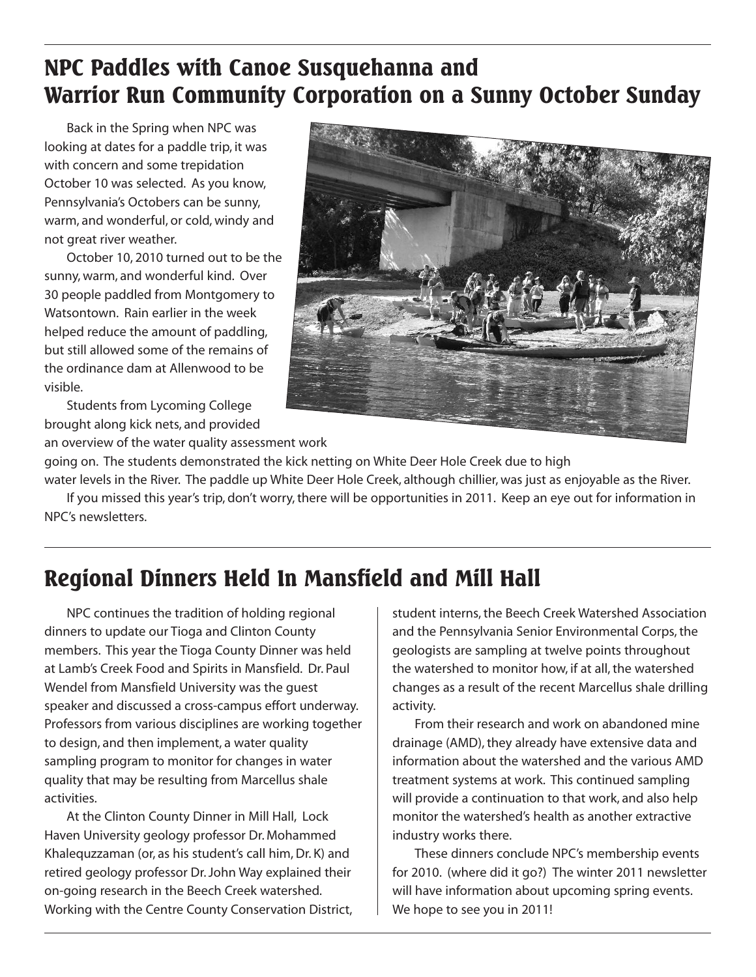# **NPC Paddles with Canoe Susquehanna and Warrior Run Community Corporation on a Sunny October Sunday**

Back in the Spring when NPC was looking at dates for a paddle trip, it was with concern and some trepidation October 10 was selected. As you know, Pennsylvania's Octobers can be sunny, warm, and wonderful, or cold, windy and not great river weather.

October 10, 2010 turned out to be the sunny, warm, and wonderful kind. Over 30 people paddled from Montgomery to Watsontown. Rain earlier in the week helped reduce the amount of paddling, but still allowed some of the remains of the ordinance dam at Allenwood to be visible.

Students from Lycoming College brought along kick nets, and provided



going on. The students demonstrated the kick netting on White Deer Hole Creek due to high

water levels in the River. The paddle up White Deer Hole Creek, although chillier, was just as enjoyable as the River. If you missed this year's trip, don't worry,there will be opportunities in 2011. Keep an eye out for information in NPC's newsletters.

# **Regional Dinners Held In Mansfield and Mill Hall**

NPC continues the tradition of holding regional dinners to update our Tioga and Clinton County members. This year the Tioga County Dinner was held at Lamb's Creek Food and Spirits in Mansfield. Dr. Paul Wendel from Mansfield University was the guest speaker and discussed a cross-campus effort underway. Professors from various disciplines are working together to design, and then implement, a water quality sampling program to monitor for changes in water quality that may be resulting from Marcellus shale activities.

At the Clinton County Dinner in Mill Hall, Lock Haven University geology professor Dr. Mohammed Khalequzzaman (or, as his student's call him, Dr. K) and retired geology professor Dr.John Way explained their on-going research in the Beech Creek watershed. Working with the Centre County Conservation District, student interns, the Beech Creek Watershed Association and the Pennsylvania Senior Environmental Corps, the geologists are sampling at twelve points throughout the watershed to monitor how, if at all, the watershed changes as a result of the recent Marcellus shale drilling activity.

From their research and work on abandoned mine drainage (AMD), they already have extensive data and information about the watershed and the various AMD treatment systems at work. This continued sampling will provide a continuation to that work, and also help monitor the watershed's health as another extractive industry works there.

These dinners conclude NPC's membership events for 2010. (where did it go?) The winter 2011 newsletter will have information about upcoming spring events. We hope to see you in 2011!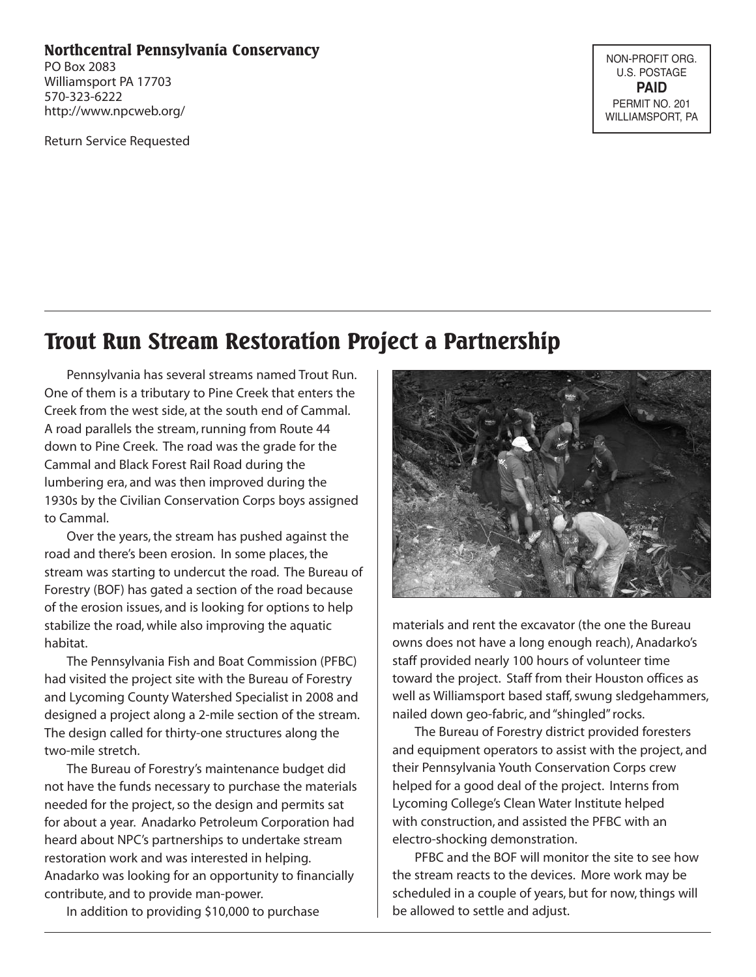#### **Northcentral Pennsylvania Conservancy**

PO Box 2083 Williamsport PA 17703 570-323-6222 http://www.npcweb.org/

Return Service Requested

NON-PROFIT ORG. U.S. POSTAGE **PAID** PERMIT NO. 201 WILLIAMSPORT, PA

### **Trout Run Stream Restoration Project a Partnership**

Pennsylvania has several streams named Trout Run. One of them is a tributary to Pine Creek that enters the Creek from the west side, at the south end of Cammal. A road parallels the stream, running from Route 44 down to Pine Creek. The road was the grade for the Cammal and Black Forest Rail Road during the lumbering era, and was then improved during the 1930s by the Civilian Conservation Corps boys assigned to Cammal.

Over the years, the stream has pushed against the road and there's been erosion. In some places, the stream was starting to undercut the road. The Bureau of Forestry (BOF) has gated a section of the road because of the erosion issues, and is looking for options to help stabilize the road, while also improving the aquatic habitat.

The Pennsylvania Fish and Boat Commission (PFBC) had visited the project site with the Bureau of Forestry and Lycoming County Watershed Specialist in 2008 and designed a project along a 2-mile section of the stream. The design called for thirty-one structures along the two-mile stretch.

The Bureau of Forestry's maintenance budget did not have the funds necessary to purchase the materials needed for the project, so the design and permits sat for about a year. Anadarko Petroleum Corporation had heard about NPC's partnerships to undertake stream restoration work and was interested in helping. Anadarko was looking for an opportunity to financially contribute, and to provide man-power.

In addition to providing \$10,000 to purchase



materials and rent the excavator (the one the Bureau owns does not have a long enough reach), Anadarko's staff provided nearly 100 hours of volunteer time toward the project. Staff from their Houston offices as well as Williamsport based staff, swung sledgehammers, nailed down geo-fabric, and"shingled"rocks.

The Bureau of Forestry district provided foresters and equipment operators to assist with the project, and their Pennsylvania Youth Conservation Corps crew helped for a good deal of the project. Interns from Lycoming College's Clean Water Institute helped with construction, and assisted the PFBC with an electro-shocking demonstration.

PFBC and the BOF will monitor the site to see how the stream reacts to the devices. More work may be scheduled in a couple of years, but for now, things will be allowed to settle and adjust.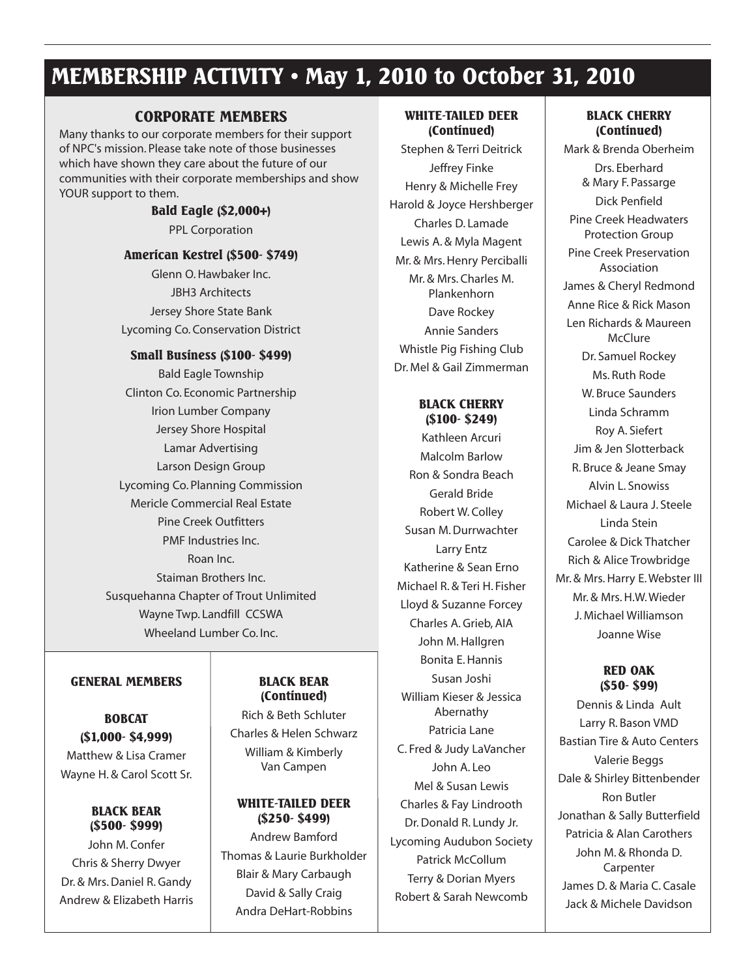### **MEMBERSHIP ACTIVITY • May 1, 2010 to October 31, 2010**

#### **CORPORATE MEMBERS**

Many thanks to our corporate members for their support of NPC's mission. Please take note of those businesses which have shown they care about the future of our communities with their corporate memberships and show YOUR support to them.

#### **Bald Eagle (\$2,000+)**

PPL Corporation

#### **American Kestrel (\$500- \$749)**

Glenn O.Hawbaker Inc. JBH3 Architects Jersey Shore State Bank Lycoming Co. Conservation District

#### **Small Business (\$100- \$499)**

Bald Eagle Township Clinton Co. Economic Partnership Irion Lumber Company Jersey Shore Hospital Lamar Advertising Larson Design Group Lycoming Co. Planning Commission Mericle Commercial Real Estate Pine Creek Outfitters PMF Industries Inc. Roan Inc. Staiman Brothers Inc. Susquehanna Chapter of Trout Unlimited Wayne Twp. Landfill CCSWA Wheeland Lumber Co. Inc.

#### **GENERAL MEMBERS**

**BOBCAT (\$1,000- \$4,999)** Matthew & Lisa Cramer Wayne H. & Carol Scott Sr.

**BLACK BEAR (\$500- \$999)** John M. Confer Chris & Sherry Dwyer Dr. & Mrs. Daniel R. Gandy Andrew & Elizabeth Harris

#### **BLACK BEAR (Continued)**

Rich & Beth Schluter Charles & Helen Schwarz William & Kimberly Van Campen

#### **WHITE-TAILED DEER (\$250- \$499)**

Andrew Bamford Thomas & Laurie Burkholder Blair & Mary Carbaugh David & Sally Craig Andra DeHart-Robbins

#### **WHITE-TAILED DEER (Continued)**

Stephen & Terri Deitrick Jeffrey Finke Henry & Michelle Frey Harold & Joyce Hershberger Charles D. Lamade Lewis A. & Myla Magent Mr. & Mrs. Henry Perciballi Mr. & Mrs. Charles M. Plankenhorn Dave Rockey Annie Sanders Whistle Pig Fishing Club Dr. Mel & Gail Zimmerman

#### **BLACK CHERRY (\$100- \$249)**

Kathleen Arcuri Malcolm Barlow Ron & Sondra Beach Gerald Bride Robert W. Colley Susan M.Durrwachter Larry Entz Katherine & Sean Erno Michael R. & Teri H. Fisher Lloyd & Suzanne Forcey Charles A.Grieb, AIA John M.Hallgren Bonita E.Hannis Susan Joshi William Kieser & Jessica Abernathy Patricia Lane C. Fred & Judy LaVancher John A. Leo Mel & Susan Lewis Charles & Fay Lindrooth Dr.Donald R. Lundy Jr. Lycoming Audubon Society Patrick McCollum Terry & Dorian Myers Robert & Sarah Newcomb

#### **BLACK CHERRY (Continued)**

Mark & Brenda Oberheim Drs. Eberhard & Mary F. Passarge Dick Penfield Pine Creek Headwaters Protection Group Pine Creek Preservation Association James & Cheryl Redmond Anne Rice & Rick Mason Len Richards & Maureen **McClure** Dr. Samuel Rockey Ms. Ruth Rode W. Bruce Saunders Linda Schramm Roy A. Siefert Jim & Jen Slotterback R. Bruce & Jeane Smay Alvin L. Snowiss Michael & Laura J. Steele Linda Stein Carolee & Dick Thatcher Rich & Alice Trowbridge Mr. & Mrs. Harry E. Webster III Mr. & Mrs.H.W.Wieder J. Michael Williamson Joanne Wise

#### **RED OAK (\$50- \$99)**

Dennis & Linda Ault Larry R. Bason VMD Bastian Tire & Auto Centers Valerie Beggs Dale & Shirley Bittenbender Ron Butler Jonathan & Sally Butterfield Patricia & Alan Carothers John M. & Rhonda D. Carpenter James D. & Maria C. Casale Jack & Michele Davidson